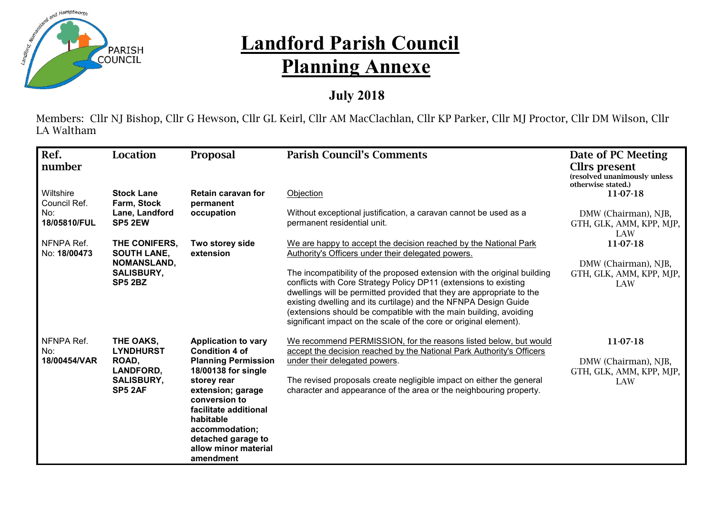

## **Landford Parish Council Planning Annexe**

## **July 2018**

Members: Cllr NJ Bishop, Cllr G Hewson, Cllr GL Keirl, Cllr AM MacClachlan, Cllr KP Parker, Cllr MJ Proctor, Cllr DM Wilson, Cllr LA Waltham

| Ref.<br>number             | <b>Location</b>                                           | Proposal                                                                                                                                                                                                                  | <b>Parish Council's Comments</b>                                                                                                                                                                                                                                                                                                                                                                                                   | Date of PC Meeting<br>Cllrs present<br>(resolved unanimously unless<br>otherwise stated.) |
|----------------------------|-----------------------------------------------------------|---------------------------------------------------------------------------------------------------------------------------------------------------------------------------------------------------------------------------|------------------------------------------------------------------------------------------------------------------------------------------------------------------------------------------------------------------------------------------------------------------------------------------------------------------------------------------------------------------------------------------------------------------------------------|-------------------------------------------------------------------------------------------|
| Wiltshire<br>Council Ref.  | <b>Stock Lane</b><br>Farm, Stock                          | Retain caravan for<br>permanent                                                                                                                                                                                           | Objection                                                                                                                                                                                                                                                                                                                                                                                                                          | 11-07-18                                                                                  |
| No:<br>18/05810/FUL        | Lane, Landford<br>SP5 2EW                                 | occupation                                                                                                                                                                                                                | Without exceptional justification, a caravan cannot be used as a<br>permanent residential unit.                                                                                                                                                                                                                                                                                                                                    | DMW (Chairman), NJB,<br>GTH, GLK, AMM, KPP, MJP,<br>LAW                                   |
| NFNPA Ref.<br>No: 18/00473 | THE CONIFERS,<br><b>SOUTH LANE,</b>                       | Two storey side<br>extension                                                                                                                                                                                              | We are happy to accept the decision reached by the National Park<br>Authority's Officers under their delegated powers.                                                                                                                                                                                                                                                                                                             | 11-07-18                                                                                  |
|                            | <b>NOMANSLAND,</b><br><b>SALISBURY,</b><br><b>SP5 2BZ</b> |                                                                                                                                                                                                                           | The incompatibility of the proposed extension with the original building<br>conflicts with Core Strategy Policy DP11 (extensions to existing<br>dwellings will be permitted provided that they are appropriate to the<br>existing dwelling and its curtilage) and the NFNPA Design Guide<br>(extensions should be compatible with the main building, avoiding<br>significant impact on the scale of the core or original element). | DMW (Chairman), NJB,<br>GTH, GLK, AMM, KPP, MJP,<br>LAW                                   |
| NFNPA Ref.<br>No:          | THE OAKS,<br><b>LYNDHURST</b>                             | <b>Application to vary</b><br><b>Condition 4 of</b>                                                                                                                                                                       | We recommend PERMISSION, for the reasons listed below, but would<br>accept the decision reached by the National Park Authority's Officers                                                                                                                                                                                                                                                                                          | 11-07-18                                                                                  |
| 18/00454/VAR               | ROAD,<br><b>LANDFORD,</b><br><b>SALISBURY,</b><br>SP5 2AF | <b>Planning Permission</b><br>18/00138 for single<br>storey rear<br>extension; garage<br>conversion to<br>facilitate additional<br>habitable<br>accommodation;<br>detached garage to<br>allow minor material<br>amendment | under their delegated powers.<br>The revised proposals create negligible impact on either the general<br>character and appearance of the area or the neighbouring property.                                                                                                                                                                                                                                                        | DMW (Chairman), NJB,<br>GTH, GLK, AMM, KPP, MJP,<br>LAW                                   |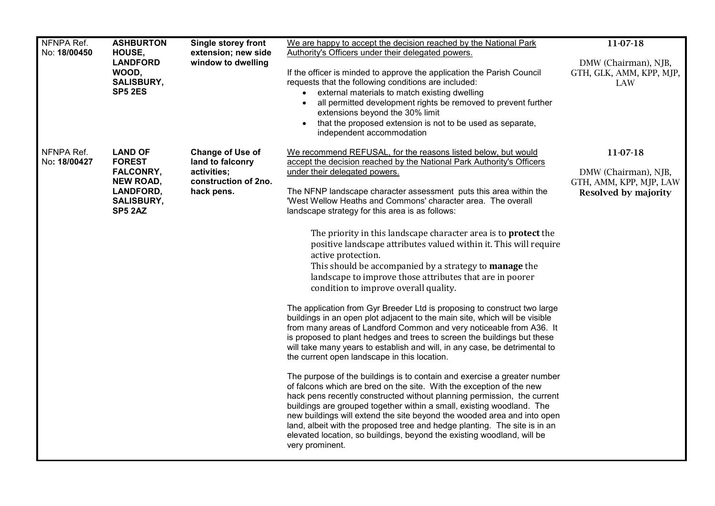| NFNPA Ref.                 | <b>ASHBURTON</b>                                                                                                            | <b>Single storey front</b>                                                                | We are happy to accept the decision reached by the National Park                                                                                                                                                                                                                                                                                                                                                                                                                                                                                          | 11-07-18                                                                |
|----------------------------|-----------------------------------------------------------------------------------------------------------------------------|-------------------------------------------------------------------------------------------|-----------------------------------------------------------------------------------------------------------------------------------------------------------------------------------------------------------------------------------------------------------------------------------------------------------------------------------------------------------------------------------------------------------------------------------------------------------------------------------------------------------------------------------------------------------|-------------------------------------------------------------------------|
| No: 18/00450               | HOUSE,<br><b>LANDFORD</b><br>WOOD,<br><b>SALISBURY,</b><br><b>SP5 2ES</b>                                                   | extension; new side<br>window to dwelling                                                 | Authority's Officers under their delegated powers.<br>If the officer is minded to approve the application the Parish Council<br>requests that the following conditions are included:<br>external materials to match existing dwelling<br>all permitted development rights be removed to prevent further<br>$\bullet$<br>extensions beyond the 30% limit<br>that the proposed extension is not to be used as separate,<br>$\bullet$<br>independent accommodation                                                                                           | DMW (Chairman), NJB,<br>GTH, GLK, AMM, KPP, MJP,<br>LAW                 |
| NFNPA Ref.<br>No: 18/00427 | <b>LAND OF</b><br><b>FOREST</b><br><b>FALCONRY,</b><br><b>NEW ROAD,</b><br>LANDFORD,<br><b>SALISBURY,</b><br><b>SP5 2AZ</b> | Change of Use of<br>land to falconry<br>activities;<br>construction of 2no.<br>hack pens. | We recommend REFUSAL, for the reasons listed below, but would<br>accept the decision reached by the National Park Authority's Officers                                                                                                                                                                                                                                                                                                                                                                                                                    | 11-07-18                                                                |
|                            |                                                                                                                             |                                                                                           | under their delegated powers.<br>The NFNP landscape character assessment puts this area within the<br>'West Wellow Heaths and Commons' character area. The overall<br>landscape strategy for this area is as follows:                                                                                                                                                                                                                                                                                                                                     | DMW (Chairman), NJB,<br>GTH, AMM, KPP, MJP, LAW<br>Resolved by majority |
|                            |                                                                                                                             |                                                                                           | The priority in this landscape character area is to <b>protect</b> the<br>positive landscape attributes valued within it. This will require<br>active protection.<br>This should be accompanied by a strategy to manage the<br>landscape to improve those attributes that are in poorer<br>condition to improve overall quality.                                                                                                                                                                                                                          |                                                                         |
|                            |                                                                                                                             |                                                                                           | The application from Gyr Breeder Ltd is proposing to construct two large<br>buildings in an open plot adjacent to the main site, which will be visible<br>from many areas of Landford Common and very noticeable from A36. It<br>is proposed to plant hedges and trees to screen the buildings but these<br>will take many years to establish and will, in any case, be detrimental to<br>the current open landscape in this location.                                                                                                                    |                                                                         |
|                            |                                                                                                                             |                                                                                           | The purpose of the buildings is to contain and exercise a greater number<br>of falcons which are bred on the site. With the exception of the new<br>hack pens recently constructed without planning permission, the current<br>buildings are grouped together within a small, existing woodland. The<br>new buildings will extend the site beyond the wooded area and into open<br>land, albeit with the proposed tree and hedge planting. The site is in an<br>elevated location, so buildings, beyond the existing woodland, will be<br>very prominent. |                                                                         |